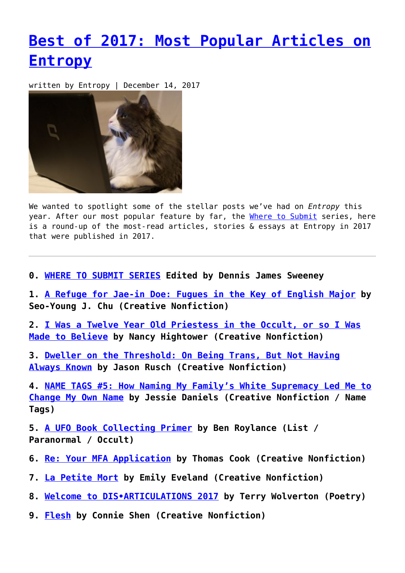## **[Best of 2017: Most Popular Articles on](https://entropymag.org/best-of-2017-most-popular-articles-on-entropy/) [Entropy](https://entropymag.org/best-of-2017-most-popular-articles-on-entropy/)**

written by Entropy | December 14, 2017



We wanted to spotlight some of the stellar posts we've had on *Entropy* this year. After our most popular feature by far, the [Where to Submit](https://entropymag.org/category/where-to-submit/) series, here is a round-up of the most-read articles, stories & essays at Entropy in 2017 that were published in 2017.

**0. [WHERE TO SUBMIT SERIES](https://entropymag.org/category/where-to-submit/) Edited by Dennis James Sweeney**

**1. [A Refuge for Jae-in Doe: Fugues in the Key of English Major](https://entropymag.org/a-refuge-for-jae-in-doe-fugues-in-the-key-of-english-major/) by Seo-Young J. Chu (Creative Nonfiction)**

**2. [I Was a Twelve Year Old Priestess in the Occult, or so I Was](https://entropymag.org/i-was-a-twelve-year-old-priestess-in-the-occult-or-so-i-was-made-to-believe/) [Made to Believe](https://entropymag.org/i-was-a-twelve-year-old-priestess-in-the-occult-or-so-i-was-made-to-believe/) by Nancy Hightower (Creative Nonfiction)**

**3. [Dweller on the Threshold: On Being Trans, But Not Having](https://entropymag.org/dweller-on-the-threshold-on-being-trans-but-not-having-always-known/) [Always Known](https://entropymag.org/dweller-on-the-threshold-on-being-trans-but-not-having-always-known/) by Jason Rusch (Creative Nonfiction)**

**4. [NAME TAGS #5: How Naming My Family's White Supremacy Led Me to](https://entropymag.org/name-tags-5-how-naming-my-familys-white-supremacy-led-me-to-change-my-own-name/) [Change My Own Name](https://entropymag.org/name-tags-5-how-naming-my-familys-white-supremacy-led-me-to-change-my-own-name/) by Jessie Daniels (Creative Nonfiction / Name Tags)**

**5. [A UFO Book Collecting Primer](https://entropymag.org/a-ufo-book-collecting-primer/) by Ben Roylance (List / Paranormal / Occult)**

- **6. [Re: Your MFA Application](https://entropymag.org/re-your-mfa-application/) by Thomas Cook (Creative Nonfiction)**
- **7. [La Petite Mort](https://entropymag.org/la-petite-mort/) by Emily Eveland (Creative Nonfiction)**
- **8. [Welcome to DIS•ARTICULATIONS 2017](https://entropymag.org/welcome-to-dis%e2%80%a2articulations-2017/) by Terry Wolverton (Poetry)**
- **9. [Flesh](https://entropymag.org/flesh/) by Connie Shen (Creative Nonfiction)**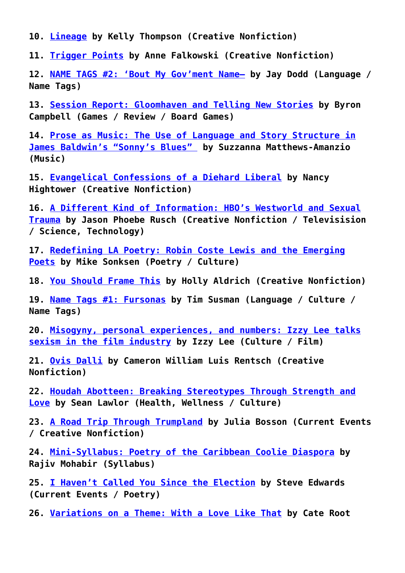**10. [Lineage](https://entropymag.org/lineage/) by Kelly Thompson (Creative Nonfiction)**

**11. [Trigger Points](https://entropymag.org/trigger-points/) by Anne Falkowski (Creative Nonfiction)**

**12. [NAME TAGS #2: 'Bout My Gov'ment Name—](https://entropymag.org/name-tags-2-bout-my-govment-name/) by Jay Dodd (Language / Name Tags)**

**13. [Session Report: Gloomhaven and Telling New Stories](https://entropymag.org/session-report-gloomhaven-and-telling-new-stories/) by Byron Campbell (Games / Review / Board Games)**

**14. [Prose as Music: The Use of Language and Story Structure in](https://entropymag.org/prose-as-music-the-use-of-language-and-story-structure-in-james-baldwins-sonnys-blues/) [James Baldwin's "Sonny's Blues"](https://entropymag.org/prose-as-music-the-use-of-language-and-story-structure-in-james-baldwins-sonnys-blues/) by Suzzanna Matthews-Amanzio (Music)**

**15. [Evangelical Confessions of a Diehard Liberal](https://entropymag.org/evangelical-confessions-of-a-diehard-liberal/) by Nancy Hightower (Creative Nonfiction)**

**16. [A Different Kind of Information: HBO's Westworld and Sexual](https://entropymag.org/a-different-kind-of-information-hbos-westworld-and-sexual-trauma/) [Trauma](https://entropymag.org/a-different-kind-of-information-hbos-westworld-and-sexual-trauma/) by Jason Phoebe Rusch (Creative Nonfiction / Televisision / Science, Technology)**

**17. [Redefining LA Poetry: Robin Coste Lewis and the Emerging](https://entropymag.org/redefining-la-poetry-robin-coste-lewis-and-the-emerging-poets/) [Poets](https://entropymag.org/redefining-la-poetry-robin-coste-lewis-and-the-emerging-poets/) by Mike Sonksen (Poetry / Culture)**

**18. [You Should Frame This](https://entropymag.org/you-should-frame-this/) by Holly Aldrich (Creative Nonfiction)**

**19. [Name Tags #1: Fursonas](https://entropymag.org/name-tags-1-fursonas/) by Tim Susman (Language / Culture / Name Tags)**

**20. [Misogyny, personal experiences, and numbers: Izzy Lee talks](https://entropymag.org/misogyny-personal-experiences-and-numbers-izzy-lee-talks-sexism-in-the-film-industry/) [sexism in the film industry](https://entropymag.org/misogyny-personal-experiences-and-numbers-izzy-lee-talks-sexism-in-the-film-industry/) by Izzy Lee (Culture / Film)**

**21. [Ovis Dalli](https://entropymag.org/ovis-dalli/) by Cameron William Luis Rentsch (Creative Nonfiction)**

**22. [Houdah Abotteen: Breaking Stereotypes Through Strength and](https://entropymag.org/houdah-abotteen-breaking-stereotypes-through-strength-and-love/) [Love](https://entropymag.org/houdah-abotteen-breaking-stereotypes-through-strength-and-love/) by Sean Lawlor (Health, Wellness / Culture)**

**23. [A Road Trip Through Trumpland](https://entropymag.org/a-road-trip-through-trumpland/) by Julia Bosson (Current Events / Creative Nonfiction)**

**24. [Mini-Syllabus: Poetry of the Caribbean Coolie Diaspora](https://entropymag.org/mini-syllabus-poetry-of-the-caribbean-coolie-diaspora/) by Rajiv Mohabir (Syllabus)**

**25. [I Haven't Called You Since the Election](https://entropymag.org/i-havent-called-you-since-the-election/) by Steve Edwards (Current Events / Poetry)**

**26. [Variations on a Theme: With a Love Like That](https://entropymag.org/variations-on-a-theme-with-a-love-like-that/) by Cate Root**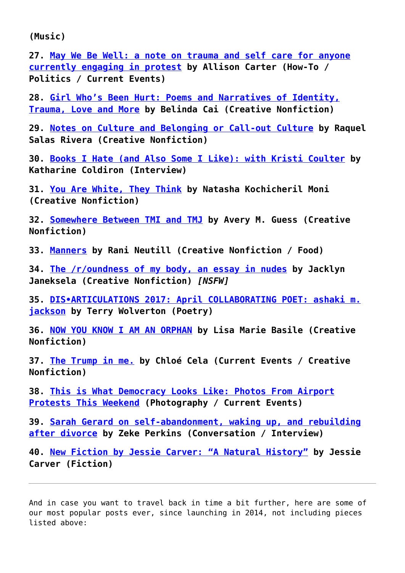**(Music)**

**27. [May We Be Well: a note on trauma and self care for anyone](https://entropymag.org/may-we-be-well-a-note-on-trauma-and-self-care-for-anyone-currently-engaging-in-protest/) [currently engaging in protest](https://entropymag.org/may-we-be-well-a-note-on-trauma-and-self-care-for-anyone-currently-engaging-in-protest/) by Allison Carter (How-To / Politics / Current Events)**

**28. [Girl Who's Been Hurt: Poems and Narratives of Identity,](https://entropymag.org/girl-whos-been-hurt-poems-and-narratives-of-identity-trauma-love-and-more/) [Trauma, Love and More](https://entropymag.org/girl-whos-been-hurt-poems-and-narratives-of-identity-trauma-love-and-more/) by Belinda Cai (Creative Nonfiction)**

**29. [Notes on Culture and Belonging or Call-out Culture](https://entropymag.org/notes-on-culture-and-belonging-or-call-out-culture/) by Raquel Salas Rivera (Creative Nonfiction)**

**30. [Books I Hate \(and Also Some I Like\): with Kristi Coulter](https://entropymag.org/books-i-hate-and-also-some-i-like-with-kristi-coulter/) by Katharine Coldiron (Interview)**

**31. [You Are White, They Think](https://entropymag.org/you-are-white-they-think/) by Natasha Kochicheril Moni (Creative Nonfiction)**

**32. [Somewhere Between TMI and TMJ](https://entropymag.org/somewhere-between-tmi-and-tmj/) by Avery M. Guess (Creative Nonfiction)**

**33. [Manners](https://entropymag.org/manners/) by Rani Neutill (Creative Nonfiction / Food)**

**34. [The /r/oundness of my body, an essay in nudes](https://entropymag.org/the-roundness-of-my-body-an-essay-in-nudes/) by Jacklyn Janeksela (Creative Nonfiction)** *[NSFW]*

**35. [DIS•ARTICULATIONS 2017: April COLLABORATING POET: ashaki m.](https://entropymag.org/dis%e2%80%a2articulations-2017-april-collaborating-poet-ashaki-m-jackson/) [jackson](https://entropymag.org/dis%e2%80%a2articulations-2017-april-collaborating-poet-ashaki-m-jackson/) by Terry Wolverton (Poetry)**

**36. [NOW YOU KNOW I AM AN ORPHAN](https://entropymag.org/now-you-know-i-am-an-orphan/) by Lisa Marie Basile (Creative Nonfiction)**

**37. [The Trump in me.](https://entropymag.org/the-trump-in-me/) by Chloé Cela (Current Events / Creative Nonfiction)**

**38. [This is What Democracy Looks Like: Photos From Airport](https://entropymag.org/this-is-what-democracy-looks-like-photos-from-airport-protests-this-weekend/) [Protests This Weekend](https://entropymag.org/this-is-what-democracy-looks-like-photos-from-airport-protests-this-weekend/) (Photography / Current Events)**

**39. [Sarah Gerard on self-abandonment, waking up, and rebuilding](https://entropymag.org/sarah-gerard-on-self-abandonment-waking-up-and-rebuilding-after-divorce/) [after divorce](https://entropymag.org/sarah-gerard-on-self-abandonment-waking-up-and-rebuilding-after-divorce/) by Zeke Perkins (Conversation / Interview)**

**40. [New Fiction by Jessie Carver: "A Natural History"](https://entropymag.org/new-fiction-by-jessie-carver-a-natural-history/) by Jessie Carver (Fiction)**

And in case you want to travel back in time a bit further, here are some of our most popular posts ever, since launching in 2014, not including pieces listed above: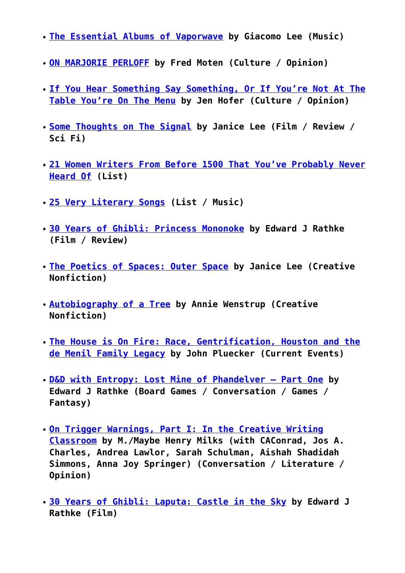- **[The Essential Albums of Vaporwave](https://entropymag.org/the-essential-albums-of-vaporwave/) by Giacomo Lee (Music)**
- **[ON MARJORIE PERLOFF](https://entropymag.org/on-marjorie-perloff/) by Fred Moten (Culture / Opinion)**
- **[If You Hear Something Say Something, Or If You're Not At The](https://entropymag.org/if-you-hear-something-say-something-or-if-youre-not-at-the-table-youre-on-the-menu/) [Table You're On The Menu](https://entropymag.org/if-you-hear-something-say-something-or-if-youre-not-at-the-table-youre-on-the-menu/) by Jen Hofer (Culture / Opinion)**
- **[Some Thoughts on The Signal](https://entropymag.org/some-thoughts-on-the-signal/) by Janice Lee (Film / Review / Sci Fi)**
- **[21 Women Writers From Before 1500 That You've Probably Never](https://entropymag.org/women-writers-from-before-1500-that-youve-probably-never-heard-of/) [Heard Of](https://entropymag.org/women-writers-from-before-1500-that-youve-probably-never-heard-of/) (List)**
- **[25 Very Literary Songs](https://entropymag.org/25-very-literary-songs/) (List / Music)**
- **[30 Years of Ghibli: Princess Mononoke](https://entropymag.org/30-years-of-ghibli-princess-mononoke/) by Edward J Rathke (Film / Review)**
- **[The Poetics of Spaces: Outer Space](https://entropymag.org/the-poetics-of-space-outer-space/) by Janice Lee (Creative Nonfiction)**
- **[Autobiography of a Tree](https://entropymag.org/autobiography-of-a-tree/) by Annie Wenstrup (Creative Nonfiction)**
- **[The House is On Fire: Race, Gentrification, Houston and the](https://entropymag.org/the-house-is-on-fire-race-gentrification-houston-and-the-de-menil-family-legacy/) [de Menil Family Legacy](https://entropymag.org/the-house-is-on-fire-race-gentrification-houston-and-the-de-menil-family-legacy/) by John Pluecker (Current Events)**
- **[D&D with Entropy: Lost Mine of Phandelver Part One](https://entropymag.org/dd-with-entropy-lost-mine-of-phandelver-part-one/) by Edward J Rathke (Board Games / Conversation / Games / Fantasy)**
- **[On Trigger Warnings, Part I: In the Creative Writing](https://entropymag.org/on-trigger-warnings-part-i-in-the-creative-writing-classroom/) [Classroom](https://entropymag.org/on-trigger-warnings-part-i-in-the-creative-writing-classroom/) by M./Maybe Henry Milks (with CAConrad, Jos A. Charles, Andrea Lawlor, Sarah Schulman, Aishah Shadidah Simmons, Anna Joy Springer) (Conversation / Literature / Opinion)**
- **[30 Years of Ghibli: Laputa: Castle in the Sky](https://entropymag.org/30-years-of-ghibli-laputa-castle-in-the-sky/) by Edward J Rathke (Film)**